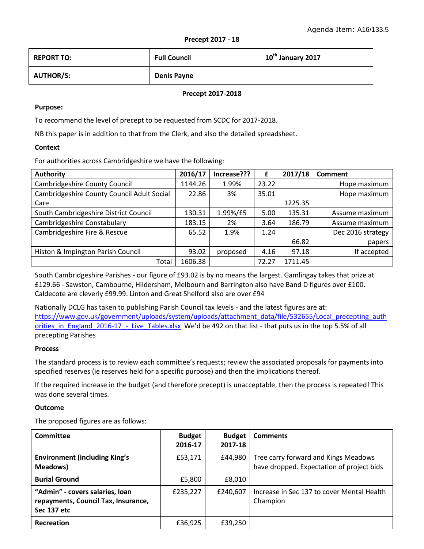| <b>REPORT TO:</b> | <b>Full Council</b> | 10 <sup>th</sup> January 2017 |
|-------------------|---------------------|-------------------------------|
| <b>AUTHOR/S:</b>  | <b>Denis Payne</b>  |                               |

#### **Precept 2017-2018**

#### **Purpose:**

To recommend the level of precept to be requested from SCDC for 2017-2018.

NB this paper is in addition to that from the Clerk, and also the detailed spreadsheet.

#### **Context**

For authorities across Cambridgeshire we have the following:

| <b>Authority</b>                           | 2016/17 | Increase??? | £     | 2017/18 | <b>Comment</b>    |
|--------------------------------------------|---------|-------------|-------|---------|-------------------|
| <b>Cambridgeshire County Council</b>       | 1144.26 | 1.99%       | 23.22 |         | Hope maximum      |
| Cambridgeshire County Council Adult Social | 22.86   | 3%          | 35.01 |         | Hope maximum      |
| Care                                       |         |             |       | 1225.35 |                   |
| South Cambridgeshire District Council      | 130.31  | 1.99%/£5    | 5.00  | 135.31  | Assume maximum    |
| Cambridgeshire Constabulary                | 183.15  | 2%          | 3.64  | 186.79  | Assume maximum    |
| Cambridgeshire Fire & Rescue               | 65.52   | 1.9%        | 1.24  |         | Dec 2016 strategy |
|                                            |         |             |       | 66.82   | papers            |
| Histon & Impington Parish Council          | 93.02   | proposed    | 4.16  | 97.18   | If accepted       |
| Total                                      | 1606.38 |             | 72.27 | 1711.45 |                   |

South Cambridgeshire Parishes - our figure of £93.02 is by no means the largest. Gamlingay takes that prize at £129.66 - Sawston, Cambourne, Hildersham, Melbourn and Barrington also have Band D figures over £100. Caldecote are cleverly £99.99. Linton and Great Shelford also are over £94

Nationally DCLG has taken to publishing Parish Council tax levels - and the latest figures are at: [https://www.gov.uk/government/uploads/system/uploads/attachment\\_data/file/532655/Local\\_precepting\\_auth](https://www.gov.uk/government/uploads/system/uploads/attachment_data/file/532655/Local_precepting_authorities_in_England_2016-17_-_Live_Tables.xlsx) orities in England 2016-17 - Live Tables.xlsx We'd be 492 on that list - that puts us in the top 5.5% of all precepting Parishes

## **Process**

The standard process is to review each committee's requests; review the associated proposals for payments into specified reserves (ie reserves held for a specific purpose) and then the implications thereof.

If the required increase in the budget (and therefore precept) is unacceptable, then the process is repeated! This was done several times.

## **Outcome**

The proposed figures are as follows:

| Committee                                                                             | <b>Budget</b><br>2016-17 | <b>Budget</b><br>2017-18 | <b>Comments</b>                                                                   |
|---------------------------------------------------------------------------------------|--------------------------|--------------------------|-----------------------------------------------------------------------------------|
| <b>Environment (including King's</b><br>Meadows)                                      | £53,171                  | £44,980                  | Tree carry forward and Kings Meadows<br>have dropped. Expectation of project bids |
| <b>Burial Ground</b>                                                                  | £5,800                   | £8,010                   |                                                                                   |
| "Admin" - covers salaries, loan<br>repayments, Council Tax, Insurance,<br>Sec 137 etc | £235,227                 | £240.607                 | Increase in Sec 137 to cover Mental Health<br>Champion                            |
| <b>Recreation</b>                                                                     | £36,925                  | £39,250                  |                                                                                   |